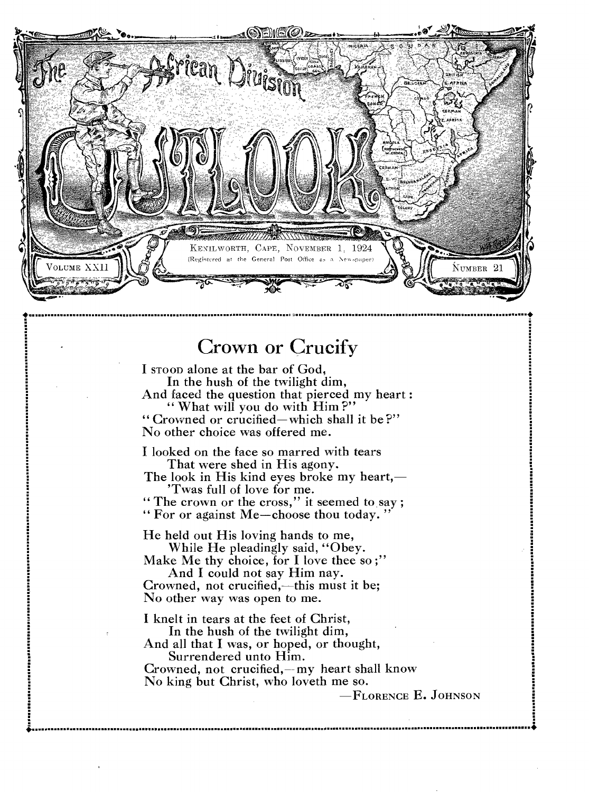

## Crown or Crucify

I STOOD alone at the bar of God, In the hush of the twilight dim, And faced the question that pierced my heart : " What will you do with Him?" " Crowned or crucified—which shall it be ?"

No other choice was offered me.

I looked on the face so marred with tears That were shed in His agony.

The look in His kind eyes broke my heart,— 'Twas full of love for me.

" The crown or the cross," it seemed to say;

" For or against Me—choose thou today. "

He held out His loving hands to me, While He pleadingly said, "Obey.

Make Me thy choice, for I love thee so;" And I could not say Him nay.

Crowned, not crucified,—this must it be; No other way was open to me.

I knelt in tears at the feet of Christ, In the hush of the twilight dim,

And all that I was, or hoped, or thought, Surrendered unto Him.

Crowned, not crucified,—my heart shall know No king but Christ, who loveth me so.

<sup>4</sup>•

-FLORENCE E. JOHNSON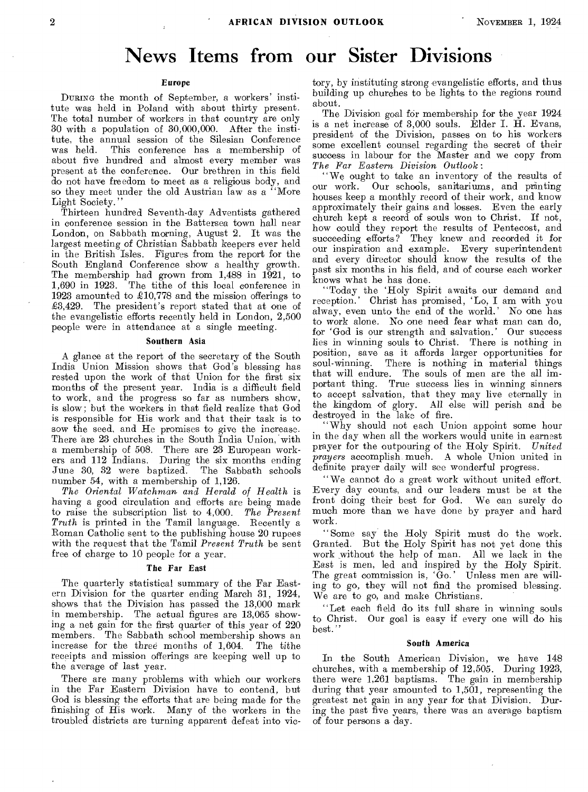## **News Items from our Sister Divisions**

#### **Europe**

DURING the month of September, a workers' institute was held in Poland with about thirty present. The total number of workers in that country are only 30 with a population of 30,000,000. After the institute, the annual session of the Silesian Conference This conference has a membership of about five hundred and almost every member was present at the conference. Our brethren in this field do not have freedom to meet as a religious body, and so they meet under the old Austrian law as a "More Light Society.'

Thirteen hundred Seventh-day Adventists gathered in conference session in the Battersea town hall near London, on Sabbath morning, August 2. It was the largest meeting of Christian Sabbath keepers ever held in the British Isles. Figures from the report for the South England Conference show a healthy growth. The membership had grown from 1,488 in 1921, to 1,690 in 1923. The tithe of this local conference in 1923 amounted to £10,778 and the mission offerings to  $£3,429.$  The president's report stated that at one of the evangelistic efforts recently held in London, 2,500 people were in attendance at a single meeting.

#### **Southern Asia**

A glance at the report of the secretary of the South India Union Mission shows that God's blessing has rested upon the work of that Union for the first six months of the present year. India is a difficult field to work, and the progress so far as numbers show, is slow; but the workers in that field realize that God is responsible for His work and that their task is to sow the seed, and He promises to give the increase. There are 23 churches in the South India Union, with a membership of 508. There are 23 European workers and 112 Indians. During the six months ending June 30, 32 were baptized. The Sabbath schools number 54, with a membership of 1,126.

*The Oriental Watchman and Herald of Health* is having a good circulation and efforts are being made to raise the subscription list to 4,000. *The Present Truth* is printed in the Tamil language. Recently a Roman Catholic sent to the publishing house 20 rupees with the request that the Tamil *Present Truth* be sent free of charge to 10 people for a year.

#### *The* **Far East**

The quarterly statistical summary of the Far Eastern Division for the quarter ending March 31, 1924, shows that the Division has passed the 13,000 mark in membership. The actual figures are 13,065 showing a net gain for the first quarter of this year of 220 members. The Sabbath school membership shows an increase for the three months of 1,604. The tithe receipts and mission offerings are keeping well up to the average of last year.

There are many problems with which our workers in the Far Eastern Division have to contend, but God is blessing the efforts that are being made for the finishing of His work. Many of the workers in the troubled districts are turning apparent defeat into victory, by instituting strong evangelistic efforts, and thus building up churches to be lights to the regions round about.

The Division goal for membership for the year 1924 is a net increase of 3,000 souls. Elder I. H. Evans, president of the Division, passes on to his workers some excellent counsel regarding the secret of their success in labour for the Master and we copy from *The Far Eastern, Division Outlook:* 

"We ought to take an inventory of the results of our work. Our schools, sanitariums, and printing houses keep a monthly record of their work, and know approximately their gains and losses. Even the early church kept a record of souls won to Christ. If not, how could they report the results of Pentecost, and succeeding efforts? They knew and recorded it for our inspiration and example. Every superintendent and every director should know the results of the past six months in his field, and of course each worker knows what he has done.

"Today the 'Holy Spirit awaits our demand and reception.' Christ has promised, 'Lo, I am with you alway, even unto the end of the world.' No one has to work alone. No one need fear what man can do, for 'God is our strength and salvation.' Our success lies in winning souls to Christ. There is nothing in position, save as it affords larger opportunities for soul-winning. There is nothing in material things that will endure. The souls of men are the all important thing. True success lies in winning sinners to accept salvation, that they may live eternally in the kingdom of glory. All else will perish and be destroyed in the lake of fire.

"Why should not each Union appoint some hour in the day when all the workers would unite in earnest prayer for the outpouring of the Holy Spirit. *United prayers* accomplish much. A whole Union united in definite prayer daily will see wonderful progress.

"We cannot do a great work without united effort. Every day counts, and our leaders must be at the front doing their best for God. We can surely do much more than we have done by prayer and hard work.

"Some say the Holy Spirit must do the work. Granted. But the Holy Spirit has not yet done this work without the help of man. All we lack in the East is men, led and inspired by the Holy Spirit. The great commission is, 'Go.' Unless men are willing to go, they will not find the promised blessing. We are to go, and make Christians.

"Let each field do its full share in winning souls to Christ. Our goal is easy if every one will do his best."

#### **South America**

In the South American Division, we have 148 churches, with a membership of 12,505. During 1923, there were 1,261 baptisms. The gain in membership during that year amounted to 1,501, representing the greatest net gain in any year for that Division. During the past five years, there was an average baptism of four persons a day.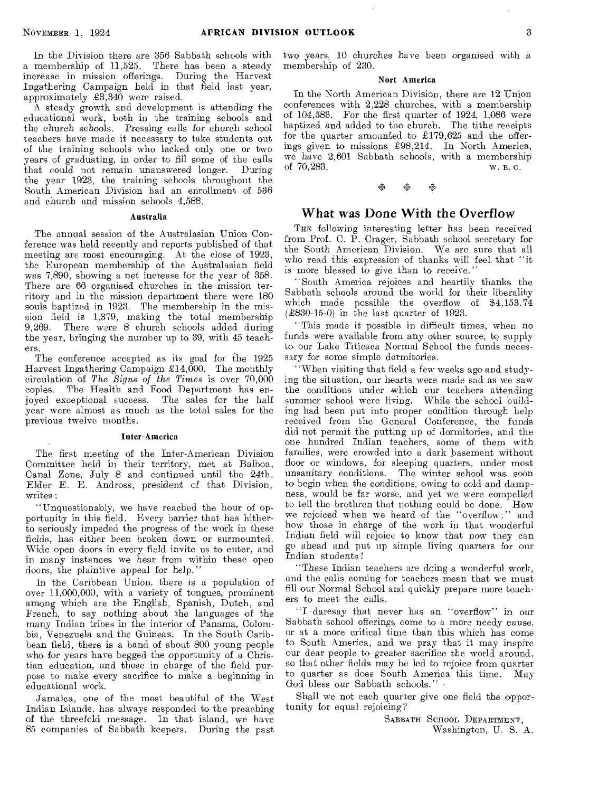In the Division there are 356 Sabbath schools with a membership of 11,525. There has been a steady increase in mission offerings. During the Harvest Ingathering Campaign held in that field last year, approximately £3,340 were raised.

A steady growth and development is attending the educational work, both in the training schools and the church schools. Pressing calls for church school teachers have made it necessary to take students out of the training schools who lacked only one or two years of graduating, in order to fill some of the calls that could not remain unanswered longer. During the year 1923, the training schools throughout the South American Division had an enrollment of 536 and church and mission schools 4,588.

#### Australia

The annual session of the Australasian Union Conference was held recently and reports published of that meeting are most encouraging. At the close of 1923, the European membership of the Australasian field was 7,890, showing a net increase for the year of 358. There are 66 organised churches in the mission territory and in the mission department there were 180 souls baptized in 1923. The membership in the mission field is 1,379, making the total membership 9,269. There were 8 church schools added during the year, bringing the number up to 39, with 45 teachers.

The conference accepted as its goal for the 1925 Harvest Ingathering Campaign  $\pounds$ 14,000. The monthly circulation of *The Signs of the Times* is over 70,000 copies. The Health and Food Department has enjoyed exceptional success. The sales for the half year were almost as much as the total sales for the previous twelve months.

#### Inter=America

The first meeting of the Inter-American Division Committee held in their territory, met at Balboa, Canal Zone, July 8 and continued until the 24th. Elder E. E. Andross, president of that Division, writes :

"Unquestionably, we have reached the hour of opportunity in this field. Every barrier that has hitherto seriously impeded the progress of the work in these fields, has either been broken down or surmounted. Wide open doors in every field invite us to enter, and in many instances we hear from within these open doors, the plaintive appeal for help."

In the Caribbean Union, there is a population of over 11,000,000, with a variety of tongues, prominent among which are the English, Spanish, Dutch, and French, to say nothing about the languages of the many Indian tribes in the interior of Panama, Colombia, Venezuela and the Guineas. In the South Caribbean field, there is a band of about 800 young people who for years have begged the opportunity of a Christian education, and those in charge of the field purpose to make every sacrifice to make a beginning in educational work.

Jamaica, one of the most beautiful of the West Indian Islands, has always responded to the preaching of the threefold message. In that island, we have 85 companies of Sabbath keepers. During the past

two years, 10 churches have been organised with a membership of 230.

#### Nort America

In the North American Division, there are 12 Union conferences with 2,228 churches, with a membership of 104,583. For the first quarter of 1924, 1,086 were baptized and added to the church. The tithe receipts for the quarter amounted to  $£179,625$  and the offerings given to missions £98,214. In North America, we have  $2,601$  Sabbath schools, with a membership of  $70.283$ .<br>w. B. C. of 70,283.

 $\frac{1}{2}$ 

#### What was Done With the Overflow

THE following interesting letter has been received from Prof. C. P. Crager, Sabbath school secretary for the South American Division. We are sure that all who read this expression of thanks will feel, that "it is more blessed to give than to receive."

"South America rejoices and heartily thanks the Sabbath schools around the world for their liberality which made possible the overflow of \$4,153.74  $(\pounds830-15-0)$  in the last quarter of 1923.

"This made it possible in difficult times, when no funds were available from any other source, to supply to our Lake Titicaca Normal School the funds necessary for some simple dormitories.

"When visiting that field a few weeks ago and studying the situation, our hearts were made sad as we saw the conditions under which our teachers attending summer school were living. While the school building had been put into proper condition through help received from the General Conference, the funds did not permit the putting up of dormitories, and the one hundred Indian teachers, some of them with families, were crowded into a dark basement without floor or windows, for sleeping quarters, under most unsanitary conditions. The winter school was soon to begin when the conditions, owing to cold and dampness, would be far worse, and yet we were compelled to tell the brethren that nothing could be done. How we rejoiced when we heard of the "overflow;" and how those in charge of the work in that wonderful Indian field will rejoice to know that now they can go ahead and put up simple living quarters for our Indian students !

"These Indian teachers are doing a wonderful work, and the calls coming for teachers mean that we must fill our Normal School and quickly prepare more teachers to meet the calls.

"I daresay that never has an "overflow" in our Sabbath school offerings come to a more needy cause, or at a more critical time than this which has come to South America, and we pray that it may inspire our dear people to greater sacrifice the world around, so that other fields may be led to rejoice from quarter to quarter as does South America this time. May God bless our Sabbath schools."

Shall we not each quarter give one field the opportunity for equal rejoicing?

> SABBATH SCHOOL DEPARTMENT, Washington, U. S. A.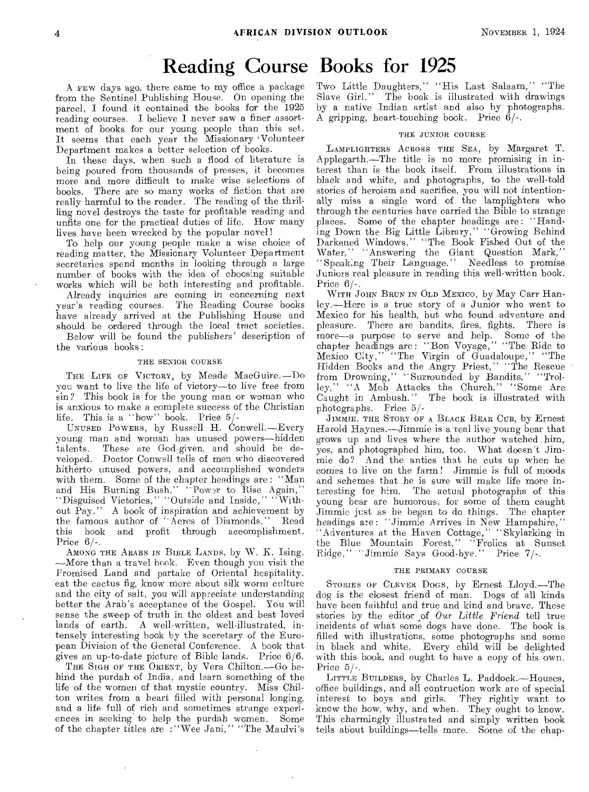## Reading Course Books for 1925

A FEW days ago, there came to my office a package from the Sentinel Publishing House. On opening the parcel, I found it contained the books for the 1925 reading courses. I believe I never saw a finer assortment of books for our young people than this set. It seems that each year the Missionary .Volunteer Department makes a better selection of books.

In these days, when such a flood of literature is being poured from thousands of presses, it becomes more and more difficult to make wise selections of books. There are so many works of fiction that are really harmful to the reader. The reading of the thrilling novel destroys the taste for profitable reading and unfits one for the practical duties of life. How many lives have been wrecked by the popular novel!

To help our young people make a wise choice of reading matter, the Missionary Volunteer Department secretaries spend months in looking through a large number of books with the idea of choosing suitable works which will be both interesting and profitable.

Already inquiries are coming in concerning next year's reading courses. The Reading Course books have already arrived at the Publishing House and should be ordered through the local tract societies.

Below will be found the publishers' description of the various books:

#### THE SENIOR COURSE

THE LIFE OF VICTORY, by Meade MacGuire.—Do you want to live the life of victory—to live free from sin? This book is for the young man or woman who is anxious to make a complete success of the Christian life. This is a ''how" book. Price 5/-

UNUSED POWERS, by Russell H. Conwell.—Every young man and woman has unused powers—hidden talents. These are God-given, and should be developed. Doctor Conwell tells of men who discovered hitherto unused powers, and accomplished wonders with them. Some of the chapter headings are : "Man and His Burning Bush," "Power to Rise Again," "Disguised Victories," "Outside and Inside," "Without Pay." A book of inspiration and achievement by the famous author of "Acres of Diamonds." Read and profit through accomplishment. Price  $6/$ .

AMONG THE ARABS IN BIBLE LANDS, by W. K. Ising. —More than a travel book. Even though you visit the Promised Land and partake of Oriental hospitality. eat the cactus fig, know more about silk worm culture and the city of salt, you will appreciate understanding better the Arab's acceptance of the Gospel. You will sense the sweep of truth in the oldest and best loved lands of earth. A well-written, well-illustrated, intensely interesting book by the secretary of the European Division of the General Conference. A book that gives an up-to-date picture of Bible lands. Price 6/6.

THE SIGH OF THE ORIENT, by Vera Chilton.—Go behind the purdah of India, and learn something of the life of the women of that mystic country. Miss Chilton writes from a heart filled with personal longing, and a life full of rich and sometimes strange experiences in seeking to help the purdah women. Some of the chapter titles are :"Wee Jani," "The Maulvi's Two Little Daughters," "His Last Salaam," "The Slave Girl." The book is illustrated with drawings by a native Indian artist and also by photographs. A gripping, heart-touching book. Price 6/-.

#### THE JUNIOR COURSE

LAMPLIGHTERS ACROSS THE SEA, by Margaret T. Applegarth.—The title is no more promising in interest than is the book itself. From illustrations in black and white, and photographs, to the well-told stories of heroism and sacrifice, you will not intentionally miss a single word of the lamplighters who through the centuries have carried the Bible to strange places. Some of the chapter headings are : "Handing Down the Big Little Library," "Growing Behind Darkened Windows," "The Book Fished Out of the Water," "Answering the Giant Question Mark," "Speaking Their Language." Needless to promise Juniors real pleasure in reading this well-written book. Price 6/-.

WITH JOHN BRUN IN OLD MEXICO, by May Carr Hanley.—Here is a true story of a Junior who went to Mexico for his health, but who found adventure and pleasure. There are bandits, fires, fights. There is There are bandits, fires, fights. There is more—a purpose to serve and help. Some of the chapter headings are : "Bon Voyage," "The Ride to Mexico City," "The Virgin of Guadaloupe," "The Hidden Books and the Angry Priest," "The Rescue from Drowning," "Surrounded by Bandits," "Trolley," "A Mob Attacks the Church," "Some Are Caught in Ambush." The book is illustrated with photographs. Price 5/-

JIMMIE', THE STORY OF A BLACK BEAR CUB, by Ernest Harold Haynes.—Jimmie is areal live young bear that grows up and lives where the author watched him, yes, and photographed him, too. What doesn't Jimmie do? And the antics that he cuts up when he comes to live on the farm ! Jimmie is full of moods and schemes that he is sure will make life more interesting for him. The actual photographs of this young bear are humorous, for some of them caught Jimmie just as he began to do things. The chapter headings are : "Jimmie Arrives in New Hampshire," "Adventures at the Haven Cottage," "Skylarking in the Blue Mountain Forest," "Frolics at Sunset Ridge," -Jimmie Says Good-bye." Price 7/-.

#### THE PRIMARY COURSE

STORIES OF CLEVER DOGS, by Ernest Lloyd.—The dog is the closest friend of man. Dogs of all kinds have been faithful and true and kind and brave. These stories by the editor of *Our Little Friend* tell true incidents of what some dogs have done. The book is filled with illustrations, some photographs and some in black and white. Every child will be delighted with this book, and ought to have a copy of his own. Price  $5/-$ .

LITTLE BUILDERS, by Charles L. Paddock.—Houses, office buildings, and all contruction work are of special interest to boys and girls. They rightly want to know the how, why, and when. They ought to know. This charmingly illustrated and simply written book tells about buildings—tells more. Some of the chap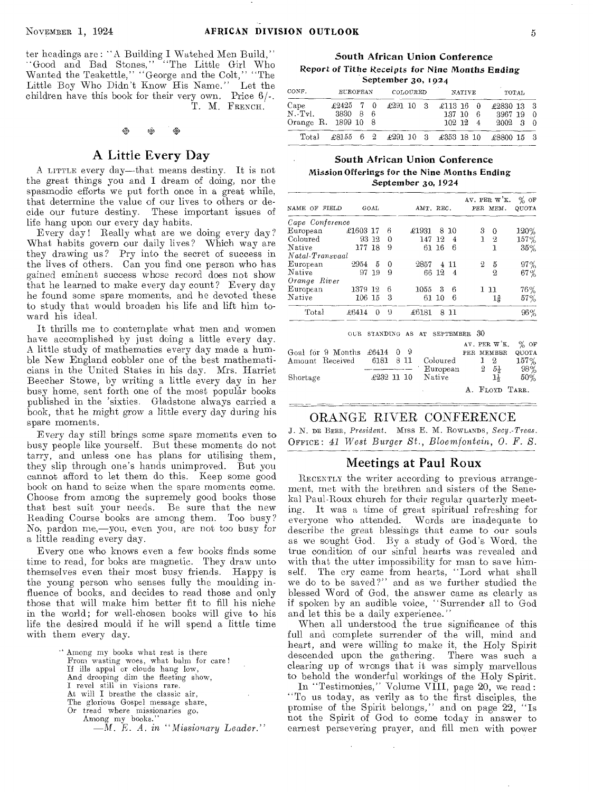ter headings are : "A Building I Watched Men Build," "Good and Bad Stones," "The Little Girl Who<br>Wanted the Teakettle," "George and the Colt," "The Little Boy Who Didn't Know His Name." Let the children have this book for their very own. Price 6/-. T. M. FRENCH.

## to Di, 01,

#### A Little Every Day

A LITTLE every day—that means destiny. It is not the great things you and I dream of doing, nor the spasmodic efforts we put forth once in a great while, that determine the value of our lives to others or decide our future destiny. These important issues of life hang upon our every day habits.

Every day! Really what are we doing every day? What habits govern our daily lives? Which way are they drawing us? Pry into the secret of success in the lives of others. Can you find one person who has gained eminent success whose record does not show that he learned to make every day count? Every day he found some spare moments, and he devoted these to study that would broaden his life and lift him toward his ideal.

It thrills me to contemplate what men and women have accomplished by just doing a little every day. A little study of mathematics every day made a humble New England cobbler one of the best mathematicians in the United States in his day. Mrs. Harriet Beecher Stowe, by writing a little every day in her busy home, sent forth one of the most popular books published in the 'sixties. Gladstone always carried a book, that he might grow a little every day during his spare moments.

Every day still brings some spare moments even to busy people like yourself. But these moments do not tarry, and unless one has plans for utilising them, they slip through one's hands unimproved. But you cannot afford to let them do this. Keep some good book on hand to seize when the spare moments come. Choose from among the supremely good books those that best suit your needs. Be sure that the new Reading Course books are among them. Too busy? No, pardon me,—you, even you, are not too busy for a little reading every day.

Every one who knows even a few books finds some time to read, for boks are magnetic. They draw unto themselves even their most busy friends. Happy is the young person who senses fully the moulding influence of books, and decides to read those and only those that will make him better fit to fill his niche in the world; for well-chosen books will give to his life the desired mould if he will spend a little time with them every day.

> Among my books what rest is there From wasting woes, what balm for care! If ills appal or clouds hang low, And drooping dim the fleeting show, I revel still in visions rare. At will I breathe the classic air, The glorious Gospel message share, Or tread where missionaries go, Among my books." *—M. E. A. in "Missionary Leader."*

South African Union Conference Report of Tithe *Receipts* for Nine Months Ending September 30, 1924

| CONF.                                               | <b>EUROPEAN</b>                 |  | COLOURED | NATIVE                                           | TOTAL                      |                                                                           |  |  |
|-----------------------------------------------------|---------------------------------|--|----------|--------------------------------------------------|----------------------------|---------------------------------------------------------------------------|--|--|
| Cape<br>$N.\lceil Tv\rceil.$<br>Orange R. 1899 10 8 | $\pounds2425$ 7 0<br>- 3830 8 6 |  |          | $\pounds291\;10\quad3\quad \pounds113\;16\quad0$ | 137 10 6<br>$102 \t12 \t4$ | £2830 13 3<br>3967 19 0<br>$2002 \quad 3 \quad 0$                         |  |  |
| Total                                               |                                 |  |          |                                                  |                            | $\pounds8155$ 6 2 $\pounds291$ 10 3 $\pounds353$ 18 10 $\pounds8800$ 15 3 |  |  |

#### South African Union Conference Mission Offerings for the Nine Months Ending September 3o, 1924

| NAME OF FIELD   |          | GOAL     |          | AMT. REC. |       |                | AV. PER W'K.<br>PER MEM. | $%$ OF<br>QUOTA |
|-----------------|----------|----------|----------|-----------|-------|----------------|--------------------------|-----------------|
| Cape Conference |          |          |          |           |       |                |                          |                 |
| European        | £1603 17 |          | 6        | £1931     | 8     | -10            | 3<br>0                   | 120%            |
| Coloured        |          | 93 12    | 0        | 147       | -12   | 4              | 1<br>$^{2}$              | 157%            |
| Native          | 177 18   |          | 9        |           | 61 16 | 6              | ı                        | 35%             |
| Natal-Transvaal |          |          |          |           |       |                |                          |                 |
| European        | 2954     | 5        | $\Omega$ | 2857      | 4     | 11             | 5<br>2                   | 97%             |
| Native          |          | 97 19    | 9        |           | 66 12 | $\overline{4}$ | 2                        | 67%             |
| Orange River    |          |          |          |           |       |                |                          |                 |
| European        | 1379 12  |          | 6        | 1055      | 3     | 6              | 1 11                     | 76%             |
| Native          | 106 15   |          | З        |           | 61 10 | 6              | 1§                       | 57%             |
| Total           | £6414    | $\Omega$ | -9       | £6181     |       | 8 11           |                          | 96%             |

|                                      |  |  |                           |    |                | AV. PER $W'K$ . % OF |
|--------------------------------------|--|--|---------------------------|----|----------------|----------------------|
| Goal for 9 Months $\pounds 6414$ 0 9 |  |  |                           |    | PER MEMBER     | QUOTA                |
| Amount Received 6181 8 11            |  |  | Coloured                  | 12 |                | $157\%$              |
|                                      |  |  | European 2                |    | $5\frac{1}{2}$ | - 98%                |
| Shortage                             |  |  | $\pounds232$ 11 10 Native |    | 11             | $50\%$               |
|                                      |  |  |                           |    |                | A. FLOYD TARR.       |

#### ORANGE RIVER CONFERENCE

J. N. DE BEER, *President.* Miss E. M. ROWLANDS , *Secy.-Treas.*  OFFICE: *41 West Burger St., Bloemfontein, 0. F. S.* 

#### Meetings at Paul Roux

RECENTLY the writer according to previous arrangement, met with the brethren and sisters of the Senekal Paul-Roux church for their regular quarterly meeting. It was a time of great spiritual refreshing for everyone who attended. Words are inadequate to describe the great blessings that came to our souls as we sought God. By a study of God's Word, the true condition of our sinful hearts was revealed and with that the utter impossibility for man to save himself. The cry came from hearts, "Lord what shall we do to be saved?" and as we further studied the blessed Word of God, the answer came as clearly as if spoken by an audible voice, "Surrender all to God and let this be a daily experience.'

When all understood the true significance of this full and complete surrender of the will, mind and heart, and were willing to make it, the Holy Spirit descended upon the gathering. There was such a clearing up of wrongs that it was simply marvellous to behold the wonderful workings of the Holy Spirit. In "Testimonies," Volume VIII, page 20, we read: "To us today, as verily as to the first disciples, the

promise of the Spirit belongs," and on page 22, "Is not the Spirit of God to come today in answer to earnest persevering prayer, and fill men with power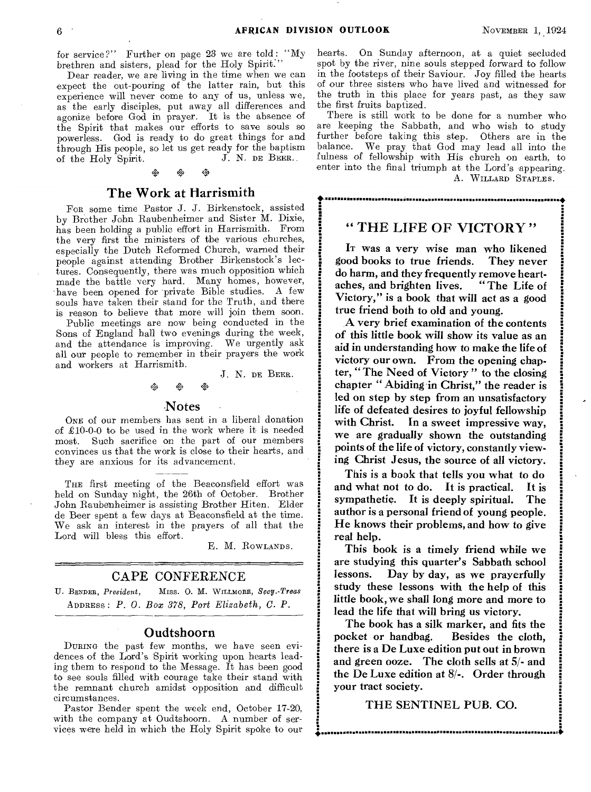·<br>ا•∙∲

•

for service?" Further on page 23 we are told: "My brethren and sisters, plead for the Holy Spirit.

Dear reader, we are living in the time when we can expect the out-pouring of the latter rain, but this experience will never come to any of us, unless we, as the early disciples, put away all differences and agonize before God in prayer. It is the absence of the Spirit that makes our efforts to save souls so powerless. God is ready to do great things for and through His people, so let us get ready for the baptism of the Holy Spirit. J. N. DE BEER. of the Holy Spirit.

#### The Work at Harrismith

FOR some time Pastor J. J. Birkenstock, assisted by Brother John Raubenheimer and Sister M. Dixie, has been holding a public effort in Harrismith. From the very first the ministers of the various churches, especially the Dutch Reformed Church, warned their people against attending Brother Birkenstock's lectures. Consequently, there was much opposition which made the battle very hard. Many homes, however, have been opened for private Bible studies. A few souls have taken their stand for the Truth, and there is reason to believe that more will join them soon.

Public meetings are now being conducted in the Sons of England hall two evenings during the week, and the attendance is improving. We urgently ask all our people to remember in their prayers the work and workers at Harrismith.

J. N. DE BEER.

### oQa +

#### -Notes

ONE of our members has sent in a liberal donation of  $£10-0-0$  to be used in the work where it is needed most. Such sacrifice on the part of our members convinces us that the work is close to their hearts, and they are anxious for its advancement.

THE first meeting of the Beaconsfield effort was held on Sunday night, the 26th of October. Brother John Raubenheimer is assisting Brother Hiten. Elder de Beer spent a few days at Beaconsfield at the time. We ask an interest in the prayers of all that the Lord will bless this effort.

E. M. ROWLANDS.

#### CAPE CONFERENCE

U. BENDER, President, MISS. O. M. WILLMORE, Secy.-Treas ADDRESS : *P. 0. Box 378, Port Elizabeth, C. P.* 

#### Oudtshoorn

DURING the past few months, we have seen evidences of the Lord's Spirit working upon hearts leading them to respond to the Message. It has been good to see souls filled with courage take their stand with the remnant church amidst opposition and difficult circumstances.

Pastor Bender spent the week end, October 17-20, with the company at Oudtshoorn. A number of services were held in which the Holy Spirit spoke to our hearts. On Sunday afternoon, at a quiet secluded spot by the river, nine souls stepped forward to follow in the footsteps of their Saviour. Joy filled the hearts of our three sisters who have lived and witnessed for the truth in this place for years past, as they saw the first fruits baptized.

There is still work to be done for a number who are keeping the Sabbath, and who wish to study further before taking this step. Others are in the balance. We pray that God may lead all into the fulness of fellowship with His church on earth, to enter into the final triumph at the Lord's appearing. A. WILLARD STAPLES.

#### " THE LIFE OF VICTORY "

IT was a very wise man who likened good books to true friends. They never do harm, and they frequently remove heartaches, and brighten lives. " The Life of Victory," is a book that will act as a good true friend both to old and young.

A very brief examination of the contents of this little book will show its value as an aid in understanding how to make the life of victory our own. From the opening chapter, " The Need of Victory " to the closing chapter "Abiding in Christ," the reader is led on step by step from an unsatisfactory life of defeated desires to joyful fellowship with Christ. In a sweet impressive way, we are gradually shown the outstanding points of the life of victory, constantly viewing Christ Jesus, the source of all victory.

This is a book that tells you what to do<br>id what not to do. It is practical. It is and what not to do. It is practical. It is sympathetic. It is deeply spiritual. The author is a personal friend of young people. He knows their problems, and how to give real help.

This book is a timely friend while we are studying this quarter's Sabbath school lessons. Day by day, as we prayerfully study these lessons with the help of this little book, we shall long more and more to lead the life that will bring us victory.

The book has a silk marker, and fits the pocket or handbag. Besides the cloth, there is a De Luxe edition put out in brown and green ooze. The cloth sells at 5/- and the De Luxe edition at 8/-. Order through your tract society.

THE SENTINEL PUB. CO.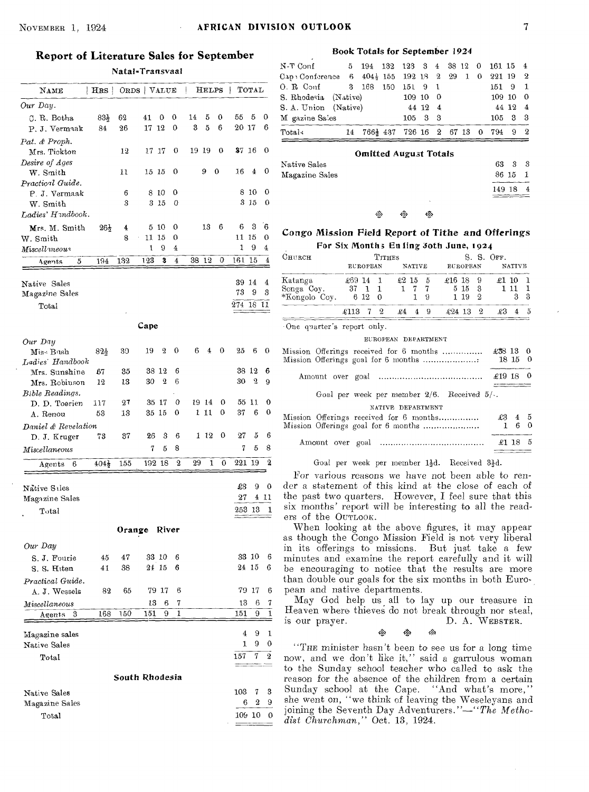#### NOVEMBER 1, 1924 **AFRICAN DIVISION OUTLOOK** 7

#### **Report of Literature Sales for September**

Natal-Transvaal

| NAME                           | $ $ HRS $ $      | ORDS   VALUE   |             |                  |        | Į       | <b>HELPS</b> |        | ł               | TOTAL            |                         |
|--------------------------------|------------------|----------------|-------------|------------------|--------|---------|--------------|--------|-----------------|------------------|-------------------------|
|                                |                  |                |             |                  |        |         |              |        |                 |                  |                         |
| Our Day.                       |                  |                |             |                  |        |         |              |        |                 |                  |                         |
| C. R. Botha                    | 83)              | 62             | 41<br>17 12 | 0                | 0<br>0 | 14<br>3 | 5<br>5       | 0<br>6 | 55<br>$20\,$ 17 | 5                | 0<br>6                  |
| P. J. Vermaak                  | 84               | 26             |             |                  |        |         |              |        |                 |                  |                         |
| Pat. & Proph.                  |                  | 12             | 17          | 17               | 0      | 19 19   |              | 0      | 37              | -16              | 0                       |
| Mrs. Tickton<br>Desire of Ages |                  |                |             |                  |        |         |              |        |                 |                  |                         |
| W. Smith                       |                  | 11             | 15 15       |                  | 0      |         | 9            | 0      | 16              | 4                | 0                       |
| Practical Guide.               |                  |                |             |                  |        |         |              |        |                 |                  |                         |
| P. J. Vermaak                  |                  | 6              | 8 10        |                  | 0      |         |              |        | 8               | 10               | 0                       |
| W. Smith                       |                  | 3              | 3 15        |                  | 0      |         |              |        |                 | $3\,15$          | 0                       |
| Ladies' Hundbook.              |                  |                |             |                  |        |         |              |        |                 |                  |                         |
| Mrs. M. Smith                  | $26\frac{1}{2}$  | 4              | 5           | -10              | 0      |         | 13           | 6      | 6               | 3                | 6                       |
| ${\bf W.}$ Smith               |                  | 8              | 11          | 15               | 0      |         |              |        | 11              | 15               | 0                       |
| Miscellaneous                  |                  |                | ı           | 9                | 4      |         |              |        | 1               | 9                | $\overline{\mathbf{4}}$ |
| Agents<br>5                    | 194              | 132            | 123         | 3                | 4      | 38      | 12           | 0      | 161             | 15               | 4                       |
|                                |                  |                |             |                  |        |         |              |        |                 |                  |                         |
| Native Sales                   |                  |                |             |                  |        |         |              |        | 39              | 14               | 4                       |
| Magazine Sales                 |                  |                |             |                  |        |         |              |        | 73              | 9                | 3                       |
| Total                          |                  |                |             |                  |        |         |              |        | $^{274}$        | 18               | 11                      |
|                                |                  |                |             |                  |        |         |              |        |                 |                  |                         |
|                                |                  |                | Cape        |                  |        |         |              |        |                 |                  |                         |
|                                |                  |                |             |                  |        |         |              |        |                 |                  |                         |
| Our Day<br>Miss Bush           | 825              | 30             | 19          | $\overline{2}$   | 0      | 6       | 4            | 0      | 25              | 6                | 0                       |
| Ladies' Handbook               |                  |                |             |                  |        |         |              |        |                 |                  |                         |
| Mrs. Sunshine                  | 67               | 35             | $38\;12$    |                  | 6      |         |              |        | 38              | 12               | 6                       |
| Mrs. Robinson                  | 12               | 13             | 30          | $\boldsymbol{2}$ | 6      |         |              |        | 30              | 2                | 9                       |
| Bible Readings.                |                  |                |             |                  |        |         |              |        |                 |                  |                         |
| D. D. Toerien                  | 117              | 27             | 35 17       |                  | 0      |         | 19 14        | 0      | 55              | 11               | 0                       |
| A. Renou                       | 53               | 13             | 35 15       |                  | 0      | 1       | 11           | 0      | 37              | 6                | 0                       |
| Daniel & Revelation            |                  |                |             |                  |        |         |              |        |                 |                  |                         |
| D. J. Kruger                   | 73               | 37             | 26          | 3                | 6      | 1       | -12          | 0      | 27              | 5                | 6                       |
| Miscellaneous                  |                  |                | 7           | 5                | 8      |         |              |        | 7               | 5                | 8                       |
|                                |                  | 155            | 192 18      |                  | 2      | 29      | 1            | 0      | 221             | 19               | 2                       |
| 6<br>Agents                    | $404\frac{1}{2}$ |                |             |                  |        |         |              |        |                 |                  |                         |
|                                |                  |                |             |                  |        |         |              |        |                 | 9                |                         |
| Native Siles                   |                  |                |             |                  |        |         |              |        | £3<br>27        | 4                | 0<br>-11                |
| Magazine Sales                 |                  |                |             |                  |        |         |              |        |                 |                  |                         |
| Total                          |                  |                |             |                  |        |         |              |        | 253             | 13               | 1                       |
|                                |                  | Orange         |             | River            |        |         |              |        |                 |                  |                         |
|                                |                  |                |             |                  |        |         |              |        |                 |                  |                         |
| Our Day                        |                  |                |             |                  |        |         |              |        |                 |                  |                         |
| S. J. Fourie                   | 45               | 47             | 33 10       |                  | 6      |         |              |        |                 | 33 10            | 6                       |
| S. S. Hiten                    | 41               | 38             | 24 15       |                  | 6      |         |              |        |                 | 24 15            | 6                       |
| Practical Guide.               |                  |                |             |                  |        |         |              |        |                 |                  |                         |
| A. J. Wessels                  | 82               | 65             |             | 79 17            | 6      |         |              |        |                 | 79 17            | 6                       |
| $\it M iscellaneous$           |                  |                | 13          | 6                | 7      |         |              |        | 13              | 6                | 7                       |
| 3<br>Agents                    | 168              | 150            | 151         | 9                | 1      |         |              |        | 151             | 9                | 1                       |
|                                |                  |                |             |                  |        |         |              |        |                 |                  |                         |
| Magazine sales                 |                  |                |             |                  |        |         |              |        | 4               | 9                | 1                       |
| Native Sales                   |                  |                |             |                  |        |         |              |        | 1               | 9                | 0                       |
| $_{\rm Total}$                 |                  |                |             |                  |        |         |              |        | 157             | 7                | 2                       |
|                                |                  | South Rhodesia |             |                  |        |         |              |        |                 |                  |                         |
|                                |                  |                |             |                  |        |         |              |        |                 |                  |                         |
| Native Sales                   |                  |                |             |                  |        |         |              |        | 103             | 7                | 3                       |
| Magazine Sales                 |                  |                |             |                  |        |         |              |        | 6               | $\boldsymbol{2}$ | 9                       |
| $_{\rm Total}$                 |                  |                |             |                  |        |         |              |        |                 | 109 10           | 0                       |
|                                |                  |                |             |                  |        |         |              |        |                 |                  |                         |

#### Book Totals for September 1924

| Total-                                                          |  |                 |  | 14 766 $\frac{1}{2}$ 437 726 16 2 67 13 0 794 9 2 |                       |  |
|-----------------------------------------------------------------|--|-----------------|--|---------------------------------------------------|-----------------------|--|
| M gazine Sales                                                  |  | $105 \t3 \t3$   |  |                                                   | $105 \quad 3 \quad 3$ |  |
| S. A. Union (Native)                                            |  | $44 \; 12 \; 4$ |  |                                                   | 44 12 4               |  |
| S. Rhodesia (Native)                                            |  | 109100          |  |                                                   | 109100                |  |
| O. R. Conf 3 168 150 151 9 1                                    |  |                 |  |                                                   | 151 9 1               |  |
| Cap: Conference 6 $404\frac{1}{2}$ 155 192 18 2 29 1 0 221 19 2 |  |                 |  |                                                   |                       |  |
| N-T Conf 5 194 132 123 3 4 38 12 0 161 15 4                     |  |                 |  |                                                   |                       |  |
|                                                                 |  |                 |  |                                                   |                       |  |

#### Omitted August Totals

|                | -------- |    |     |          |  |
|----------------|----------|----|-----|----------|--|
| Native Sales   |          |    |     | 63 3 3   |  |
| Magazine Sales |          |    |     | 86 15 1  |  |
|                |          |    |     | 149 18 4 |  |
|                |          |    | ×.  |          |  |
|                | ΔŽ.      | Ñ. | кð. |          |  |

#### Congo Mission Field Report of Tithe and Offerings For Six Months En ling Joth June, 1924

| Сниксн        |                 | <b>TITHES</b> |         |               | S. S. OFF.      |    |            |   |  |  |
|---------------|-----------------|---------------|---------|---------------|-----------------|----|------------|---|--|--|
|               | <b>EUROPEAN</b> |               |         | <b>NATIVE</b> | <b>EUROPEAN</b> |    | NATIVE     |   |  |  |
| Katanga       | 14<br>£69.      |               | $£2$ 15 | - 5           | £16 18   9      |    | 41<br>. 10 |   |  |  |
| Songa Coy.    | 37              |               |         |               | $5 \; 15$       | -3 |            |   |  |  |
| *Kongolo Coy. | 6 12            | 0             |         | 9             | - 19            | 9  |            | 3 |  |  |
|               | -6113           | Ω             | eΔ      | 9             | 494<br>13       | 9. |            |   |  |  |

.One quarter's report only.

#### EUROPEAN DEPARTMENT

| Mission Offerings received for 6 months<br>Mission Offerings goal for 6 months | $\pounds 38$ 13 0 | 18150          |          |
|--------------------------------------------------------------------------------|-------------------|----------------|----------|
|                                                                                | $\pounds19$ 18 0  |                |          |
| Goal per week per member $2/6$ . Received $5/4$ .                              |                   |                |          |
| NATIVE DEPARTMENT                                                              |                   |                |          |
| Mission Offerings received for 6 months                                        |                   | $\pounds3$ 4 5 |          |
| Mission Offerings goal for 6 months                                            |                   | в              | $\Omega$ |
|                                                                                | f13               |                | - 5      |

#### Goal per week per member  $1\frac{1}{2}d$ . Received  $3\frac{1}{2}d$ .

For various reasons we have not been able to render a statement of this kind at the close of each of the past two quarters. However, I feel sure that this six months' report will be interesting to all the readers of the OUTLOOK.

When looking at the above figures, it may appear as though the Congo Mission Field is not very liberal in its offerings to missions. But just take a few minutes and examine the report carefully and it will be encouraging to notice that the results are more than double our goals for the six months in both European and native departments.

May God help us, all to lay up our treasure in Heaven where thieves do not break through nor steal,<br>
is our prayer.<br>  $\frac{1}{4}$ ,  $\frac{1}{4}$ ,  $\frac{1}{4}$ ,  $\frac{1}{4}$ ,  $\frac{1}{4}$ ,  $\frac{1}{4}$ ,  $\frac{1}{4}$ ,  $\frac{1}{4}$ ,  $\frac{1}{4}$ ,  $\frac{1}{4}$ ,  $\frac{1}{4}$ ,  $\frac{1}{4}$ ,  $\frac{1}{4}$ ,  $\frac{1}{4}$ is our prayer.<br>  $\frac{1}{2}$   $\frac{1}{2}$   $\frac{1}{2}$   $\frac{1}{2}$   $\frac{1}{2}$   $\frac{1}{2}$   $\frac{1}{2}$   $\frac{1}{2}$   $\frac{1}{2}$   $\frac{1}{2}$   $\frac{1}{2}$   $\frac{1}{2}$   $\frac{1}{2}$   $\frac{1}{2}$   $\frac{1}{2}$   $\frac{1}{2}$   $\frac{1}{2}$   $\frac{1}{2}$   $\frac{1}{2}$   $\frac{1}{2}$   $\frac{1}{$ 

"THE minister hasn't been to *see* us for a long time now, and we don't like it," said a garrulous woman to the Sunday school teacher who called to ask the reason for the absence of the children from a certain Sunday school at the Cape. "And what's more," Sunday school at the Cape. she went on, "we think of leaving the Weseleyans and joining the Seventh Day Adventurers."—"The *Methodist Churchman,"* Oct. 13, 1924.